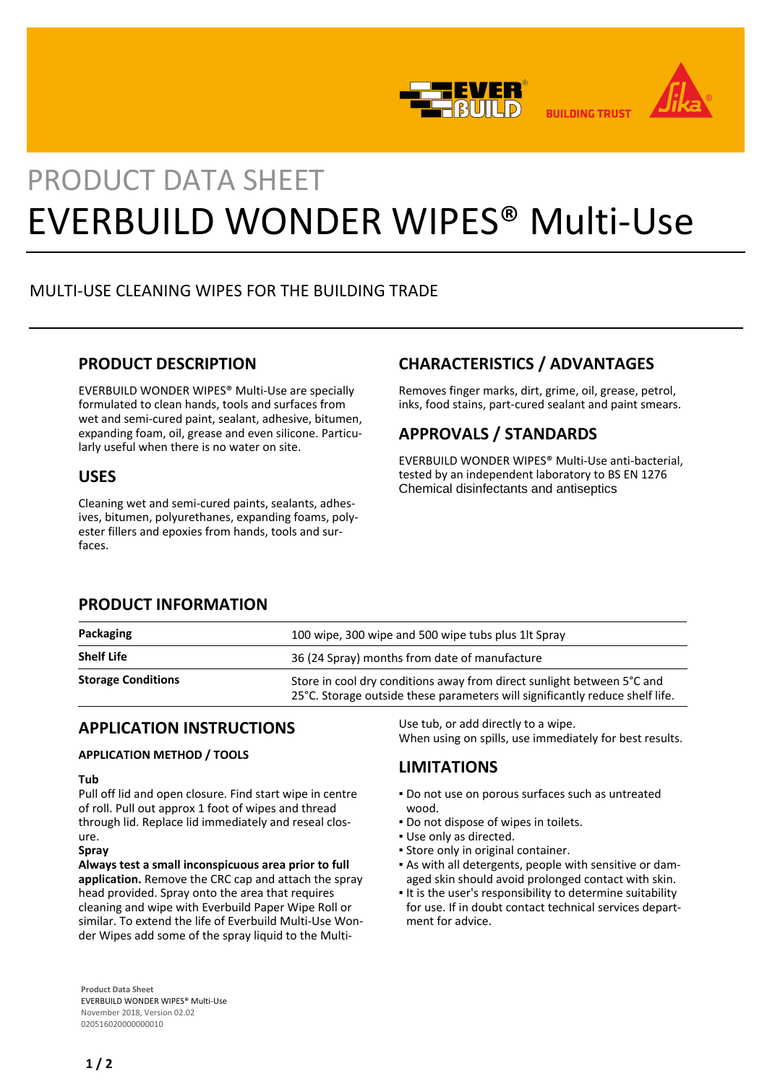



# PRODUCT DATA SHEET EVERBUILD WONDER WIPES® Multi-Use

## MULTI-USE CLEANING WIPES FOR THE BUILDING TRADE

## **PRODUCT DESCRIPTION**

EVERBUILD WONDER WIPES® Multi-Use are specially formulated to clean hands, tools and surfaces from wet and semi-cured paint, sealant, adhesive, bitumen, expanding foam, oil, grease and even silicone. Particularly useful when there is no water on site.

## **USES**

Cleaning wet and semi-cured paints, sealants, adhesives, bitumen, polyurethanes, expanding foams, polyester fillers and epoxies from hands, tools and surfaces.

## **CHARACTERISTICS / ADVANTAGES**

Removes finger marks, dirt, grime, oil, grease, petrol, inks, food stains, part-cured sealant and paint smears.

# **APPROVALS / STANDARDS**

EVERBUILD WONDER WIPES® Multi-Use anti-bacterial, tested by an independent laboratory to BS EN 1276 Chemical disinfectants and antiseptics

## **PRODUCT INFORMATION**

| Packaging                 | 100 wipe, 300 wipe and 500 wipe tubs plus 1lt Spray                                                                                                    |
|---------------------------|--------------------------------------------------------------------------------------------------------------------------------------------------------|
| <b>Shelf Life</b>         | 36 (24 Spray) months from date of manufacture                                                                                                          |
| <b>Storage Conditions</b> | Store in cool dry conditions away from direct sunlight between 5°C and<br>25°C. Storage outside these parameters will significantly reduce shelf life. |

## **APPLICATION INSTRUCTIONS**

## **APPLICATION METHOD / TOOLS**

### **Tub**

Pull off lid and open closure. Find start wipe in centre of roll. Pull out approx 1 foot of wipes and thread through lid. Replace lid immediately and reseal closure.

#### **Spray**

**Always test a small inconspicuous area prior to full application.** Remove the CRC cap and attach the spray head provided. Spray onto the area that requires cleaning and wipe with Everbuild Paper Wipe Roll or similar. To extend the life of Everbuild Multi-Use Wonder Wipes add some of the spray liquid to the Multi-

**Product Data Sheet** EVERBUILD WONDER WIPES® Multi-Use November 2018, Version 02.02 020516020000000010

Use tub, or add directly to a wipe. When using on spills, use immediately for best results.

## **LIMITATIONS**

- Do not use on porous surfaces such as untreated wood.
- Do not dispose of wipes in toilets.
- Use only as directed.
- **.** Store only in original container.
- As with all detergents, people with sensitive or dam-▪ aged skin should avoid prolonged contact with skin.
- It is the user's responsibility to determine suitability for use. If in doubt contact technical services department for advice.